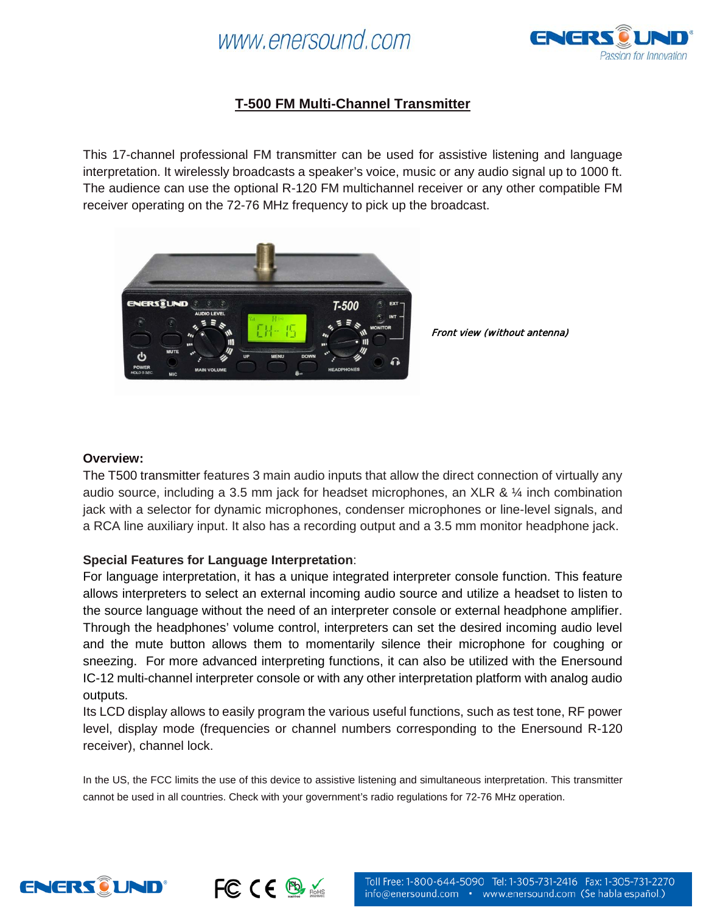## www.enersound.com



## **T-500 FM Multi-Channel Transmitter**

This 17-channel professional FM transmitter can be used for assistive listening and language interpretation. It wirelessly broadcasts a speaker's voice, music or any audio signal up to 1000 ft. The audience can use the optional R-120 FM multichannel receiver or any other compatible FM receiver operating on the 72-76 MHz frequency to pick up the broadcast.



Front view (without antenna)

#### **Overview:**

The T500 transmitter features 3 main audio inputs that allow the direct connection of virtually any audio source, including a 3.5 mm jack for headset microphones, an XLR &  $\frac{1}{4}$  inch combination jack with a selector for dynamic microphones, condenser microphones or line-level signals, and a RCA line auxiliary input. It also has a recording output and a 3.5 mm monitor headphone jack.

### **Special Features for Language Interpretation**:

For language interpretation, it has a unique integrated interpreter console function. This feature allows interpreters to select an external incoming audio source and utilize a headset to listen to the source language without the need of an interpreter console or external headphone amplifier. Through the headphones' volume control, interpreters can set the desired incoming audio level and the mute button allows them to momentarily silence their microphone for coughing or sneezing. For more advanced interpreting functions, it can also be utilized with the Enersound IC-12 multi-channel interpreter console or with any other interpretation platform with analog audio outputs.

Its LCD display allows to easily program the various useful functions, such as test tone, RF power level, display mode (frequencies or channel numbers corresponding to the Enersound R-120 receiver), channel lock.

In the US, the FCC limits the use of this device to assistive listening and simultaneous interpretation. This transmitter cannot be used in all countries. Check with your government's radio regulations for 72-76 MHz operation.



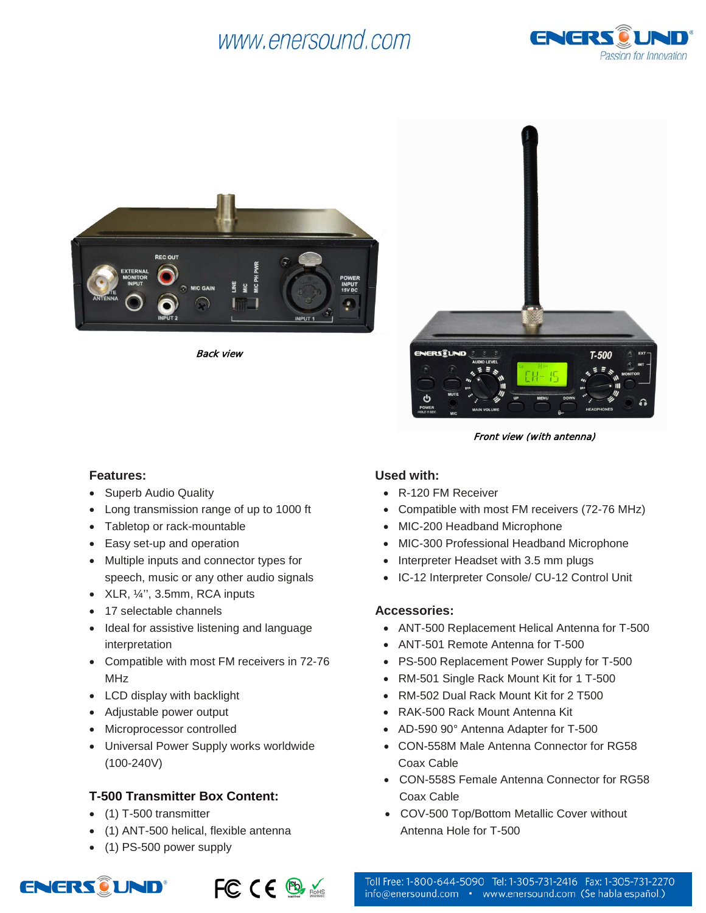# www.enersound.com





Back view



Front view (with antenna)

#### **Features:**

- Superb Audio Quality
- Long transmission range of up to 1000 ft
- Tabletop or rack-mountable
- Easy set-up and operation
- Multiple inputs and connector types for speech, music or any other audio signals
- $XLR$ ,  $\frac{1}{4}$ , 3.5mm, RCA inputs
- 17 selectable channels
- Ideal for assistive listening and language interpretation
- Compatible with most FM receivers in 72-76 MHz
- LCD display with backlight
- Adjustable power output
- Microprocessor controlled
- Universal Power Supply works worldwide (100-240V)

## **T-500 Transmitter Box Content:**

- (1) T-500 transmitter
- (1) ANT-500 helical, flexible antenna
- (1) PS-500 power supply





## **Used with:**

- R-120 FM Receiver
- Compatible with most FM receivers (72-76 MHz)
- MIC-200 Headband Microphone
- MIC-300 Professional Headband Microphone
- Interpreter Headset with 3.5 mm plugs
- IC-12 Interpreter Console/ CU-12 Control Unit

### **Accessories:**

- ANT-500 Replacement Helical Antenna for T-500
- ANT-501 Remote Antenna for T-500
- PS-500 Replacement Power Supply for T-500
- RM-501 Single Rack Mount Kit for 1 T-500
- RM-502 Dual Rack Mount Kit for 2 T500
- RAK-500 Rack Mount Antenna Kit
- AD-590 90° Antenna Adapter for T-500
- CON-558M Male Antenna Connector for RG58 Coax Cable
- CON-558S Female Antenna Connector for RG58 Coax Cable
- COV-500 Top/Bottom Metallic Cover without Antenna Hole for T-500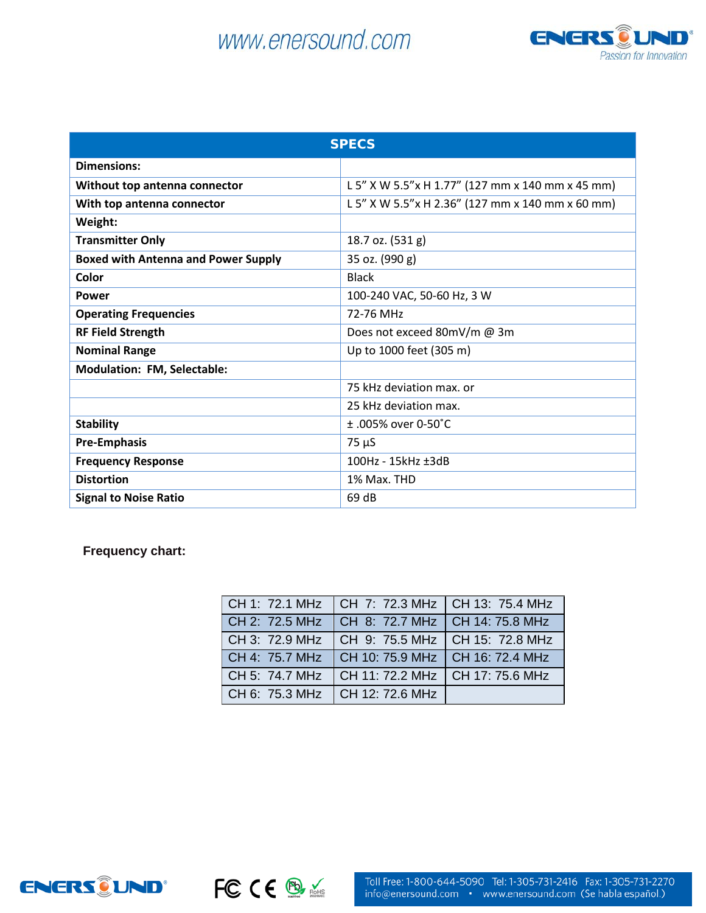# www.enersound.com



| <b>SPECS</b>                               |                                                  |  |
|--------------------------------------------|--------------------------------------------------|--|
| <b>Dimensions:</b>                         |                                                  |  |
| Without top antenna connector              | L 5" X W 5.5"x H 1.77" (127 mm x 140 mm x 45 mm) |  |
| With top antenna connector                 | L 5" X W 5.5"x H 2.36" (127 mm x 140 mm x 60 mm) |  |
| Weight:                                    |                                                  |  |
| <b>Transmitter Only</b>                    | 18.7 oz. (531 g)                                 |  |
| <b>Boxed with Antenna and Power Supply</b> | 35 oz. (990 g)                                   |  |
| Color                                      | <b>Black</b>                                     |  |
| Power                                      | 100-240 VAC, 50-60 Hz, 3 W                       |  |
| <b>Operating Frequencies</b>               | 72-76 MHz                                        |  |
| <b>RF Field Strength</b>                   | Does not exceed 80mV/m @ 3m                      |  |
| <b>Nominal Range</b>                       | Up to 1000 feet (305 m)                          |  |
| <b>Modulation: FM, Selectable:</b>         |                                                  |  |
|                                            | 75 kHz deviation max. or                         |  |
|                                            | 25 kHz deviation max.                            |  |
| <b>Stability</b>                           | $+$ 005% over 0-50°C                             |  |
| <b>Pre-Emphasis</b>                        | $75 \mu S$                                       |  |
| <b>Frequency Response</b>                  | 100Hz - 15kHz ±3dB                               |  |
| <b>Distortion</b>                          | 1% Max. THD                                      |  |
| <b>Signal to Noise Ratio</b>               | 69 dB                                            |  |

**Frequency chart:**

| CH 1: 72.1 MHz | CH 7: 72.3 MHz   CH 13: 75.4 MHz  |  |
|----------------|-----------------------------------|--|
| CH 2: 72.5 MHz | CH 8: 72.7 MHz   CH 14: 75.8 MHz  |  |
| CH 3: 72.9 MHz | CH 9: 75.5 MHz   CH 15: 72.8 MHz  |  |
| CH 4: 75.7 MHz | CH 10: 75.9 MHz   CH 16: 72.4 MHz |  |
| CH 5: 74.7 MHz | CH 11: 72.2 MHz   CH 17: 75.6 MHz |  |
| CH 6: 75.3 MHz | CH 12: 72.6 MHz                   |  |